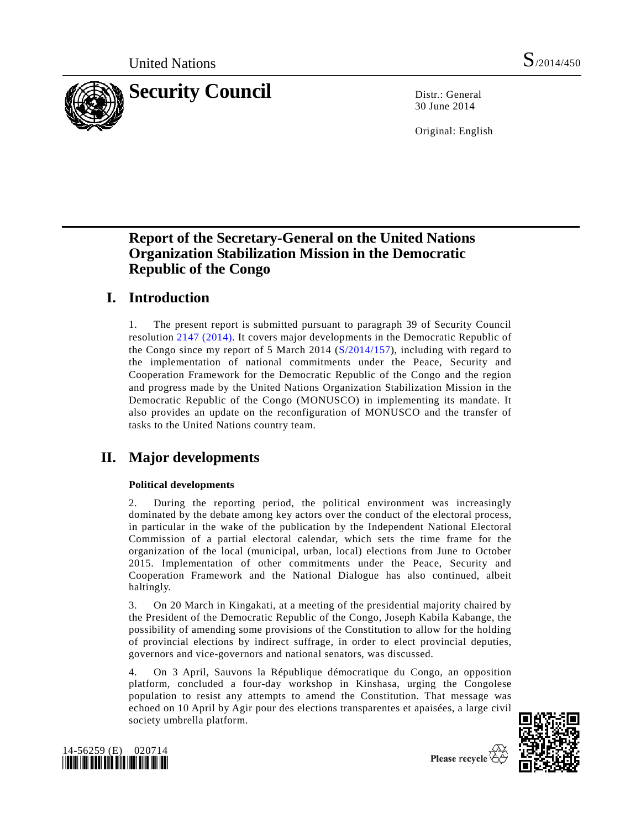

30 June 2014

Original: English

# **Report of the Secretary-General on the United Nations Organization Stabilization Mission in the Democratic Republic of the Congo**

# **I. Introduction**

1. The present report is submitted pursuant to paragraph 39 of Security Council resolution [2147 \(2014\).](http://undocs.org/S/RES/2147(2014)) It covers major developments in the Democratic Republic of the Congo since my report of 5 March 2014 [\(S/2014/157\)](http://undocs.org/S/2014/157), including with regard to the implementation of national commitments under the Peace, Security and Cooperation Framework for the Democratic Republic of the Congo and the region and progress made by the United Nations Organization Stabilization Mission in the Democratic Republic of the Congo (MONUSCO) in implementing its mandate. It also provides an update on the reconfiguration of MONUSCO and the transfer of tasks to the United Nations country team.

# **II. Major developments**

### **Political developments**

2. During the reporting period, the political environment was increasingly dominated by the debate among key actors over the conduct of the electoral process, in particular in the wake of the publication by the Independent National Electoral Commission of a partial electoral calendar, which sets the time frame for the organization of the local (municipal, urban, local) elections from June to October 2015. Implementation of other commitments under the Peace, Security and Cooperation Framework and the National Dialogue has also continued, albeit haltingly.

3. On 20 March in Kingakati, at a meeting of the presidential majority chaired by the President of the Democratic Republic of the Congo, Joseph Kabila Kabange, the possibility of amending some provisions of the Constitution to allow for the holding of provincial elections by indirect suffrage, in order to elect provincial deputies, governors and vice-governors and national senators, was discussed.

4. On 3 April, Sauvons la République démocratique du Congo, an opposition platform, concluded a four-day workshop in Kinshasa, urging the Congolese population to resist any attempts to amend the Constitution. That message was echoed on 10 April by Agir pour des elections transparentes et apaisées, a large civil society umbrella platform.



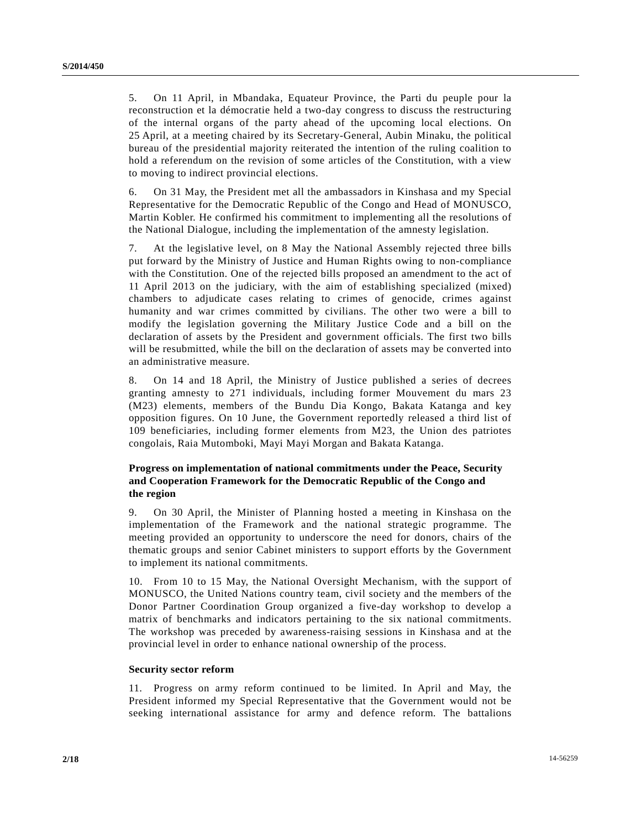5. On 11 April, in Mbandaka, Equateur Province, the Parti du peuple pour la reconstruction et la démocratie held a two-day congress to discuss the restructuring of the internal organs of the party ahead of the upcoming local elections. On 25 April, at a meeting chaired by its Secretary-General, Aubin Minaku, the political bureau of the presidential majority reiterated the intention of the ruling coalition to hold a referendum on the revision of some articles of the Constitution, with a view to moving to indirect provincial elections.

6. On 31 May, the President met all the ambassadors in Kinshasa and my Special Representative for the Democratic Republic of the Congo and Head of MONUSCO, Martin Kobler. He confirmed his commitment to implementing all the resolutions of the National Dialogue, including the implementation of the amnesty legislation.

7. At the legislative level, on 8 May the National Assembly rejected three bills put forward by the Ministry of Justice and Human Rights owing to non-compliance with the Constitution. One of the rejected bills proposed an amendment to the act of 11 April 2013 on the judiciary, with the aim of establishing specialized (mixed) chambers to adjudicate cases relating to crimes of genocide, crimes against humanity and war crimes committed by civilians. The other two were a bill to modify the legislation governing the Military Justice Code and a bill on the declaration of assets by the President and government officials. The first two bills will be resubmitted, while the bill on the declaration of assets may be converted into an administrative measure.

8. On 14 and 18 April, the Ministry of Justice published a series of decrees granting amnesty to 271 individuals, including former Mouvement du mars 23 (M23) elements, members of the Bundu Dia Kongo, Bakata Katanga and key opposition figures. On 10 June, the Government reportedly released a third list of 109 beneficiaries, including former elements from M23, the Union des patriotes congolais, Raia Mutomboki, Mayi Mayi Morgan and Bakata Katanga.

### **Progress on implementation of national commitments under the Peace, Security and Cooperation Framework for the Democratic Republic of the Congo and the region**

9. On 30 April, the Minister of Planning hosted a meeting in Kinshasa on the implementation of the Framework and the national strategic programme. The meeting provided an opportunity to underscore the need for donors, chairs of the thematic groups and senior Cabinet ministers to support efforts by the Government to implement its national commitments.

10. From 10 to 15 May, the National Oversight Mechanism, with the support of MONUSCO, the United Nations country team, civil society and the members of the Donor Partner Coordination Group organized a five-day workshop to develop a matrix of benchmarks and indicators pertaining to the six national commitments. The workshop was preceded by awareness-raising sessions in Kinshasa and at the provincial level in order to enhance national ownership of the process.

#### **Security sector reform**

11. Progress on army reform continued to be limited. In April and May, the President informed my Special Representative that the Government would not be seeking international assistance for army and defence reform. The battalions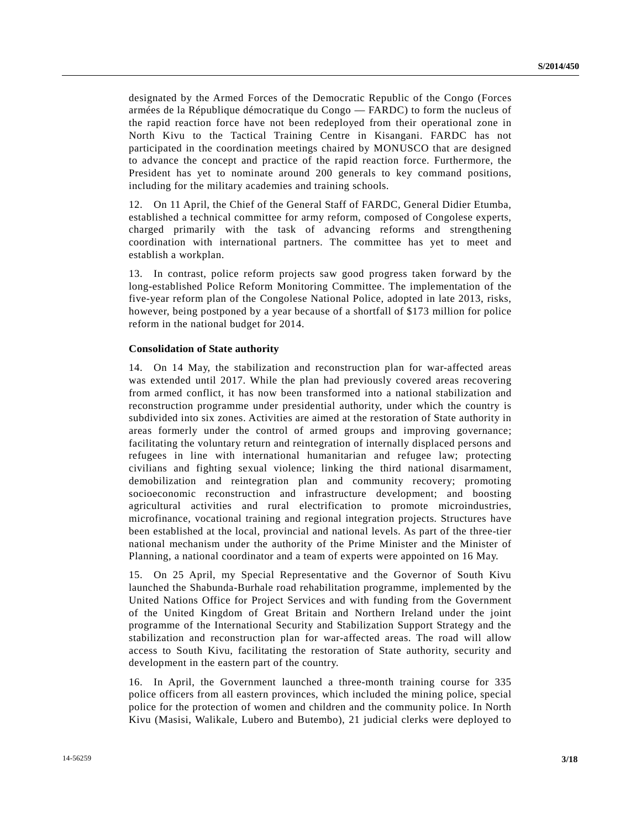designated by the Armed Forces of the Democratic Republic of the Congo (Forces armées de la République démocratique du Congo — FARDC) to form the nucleus of the rapid reaction force have not been redeployed from their operational zone in North Kivu to the Tactical Training Centre in Kisangani. FARDC has not participated in the coordination meetings chaired by MONUSCO that are designed to advance the concept and practice of the rapid reaction force. Furthermore, the President has yet to nominate around 200 generals to key command positions, including for the military academies and training schools.

12. On 11 April, the Chief of the General Staff of FARDC, General Didier Etumba, established a technical committee for army reform, composed of Congolese experts, charged primarily with the task of advancing reforms and strengthening coordination with international partners. The committee has yet to meet and establish a workplan.

13. In contrast, police reform projects saw good progress taken forward by the long-established Police Reform Monitoring Committee. The implementation of the five-year reform plan of the Congolese National Police, adopted in late 2013, risks, however, being postponed by a year because of a shortfall of \$173 million for police reform in the national budget for 2014.

#### **Consolidation of State authority**

14. On 14 May, the stabilization and reconstruction plan for war-affected areas was extended until 2017. While the plan had previously covered areas recovering from armed conflict, it has now been transformed into a national stabilization and reconstruction programme under presidential authority, under which the country is subdivided into six zones. Activities are aimed at the restoration of State authority in areas formerly under the control of armed groups and improving governance; facilitating the voluntary return and reintegration of internally displaced persons and refugees in line with international humanitarian and refugee law; protecting civilians and fighting sexual violence; linking the third national disarmament, demobilization and reintegration plan and community recovery; promoting socioeconomic reconstruction and infrastructure development; and boosting agricultural activities and rural electrification to promote microindustries, microfinance, vocational training and regional integration projects. Structures have been established at the local, provincial and national levels. As part of the three-tier national mechanism under the authority of the Prime Minister and the Minister of Planning, a national coordinator and a team of experts were appointed on 16 May.

15. On 25 April, my Special Representative and the Governor of South Kivu launched the Shabunda-Burhale road rehabilitation programme, implemented by the United Nations Office for Project Services and with funding from the Government of the United Kingdom of Great Britain and Northern Ireland under the joint programme of the International Security and Stabilization Support Strategy and the stabilization and reconstruction plan for war-affected areas. The road will allow access to South Kivu, facilitating the restoration of State authority, security and development in the eastern part of the country.

16. In April, the Government launched a three-month training course for 335 police officers from all eastern provinces, which included the mining police, special police for the protection of women and children and the community police. In North Kivu (Masisi, Walikale, Lubero and Butembo), 21 judicial clerks were deployed to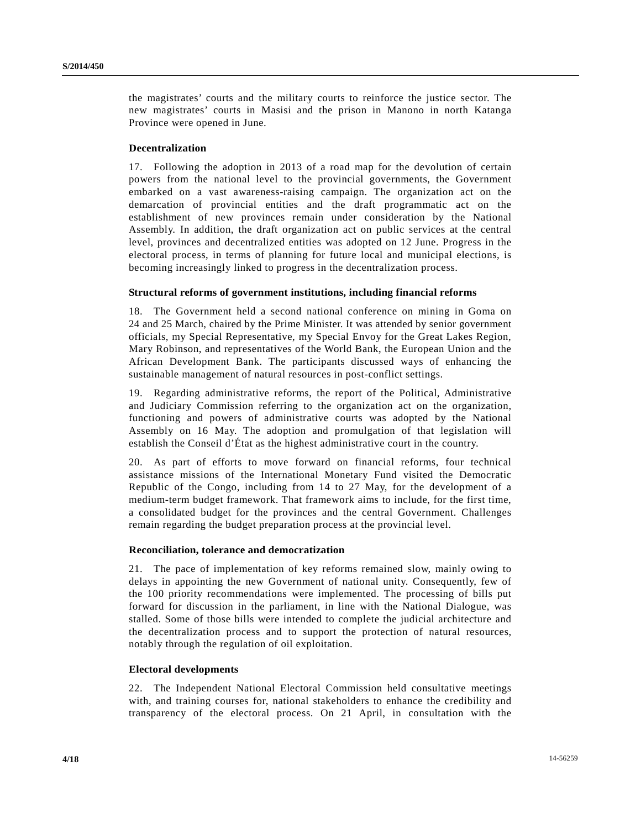the magistrates' courts and the military courts to reinforce the justice sector. The new magistrates' courts in Masisi and the prison in Manono in north Katanga Province were opened in June.

#### **Decentralization**

17. Following the adoption in 2013 of a road map for the devolution of certain powers from the national level to the provincial governments, the Government embarked on a vast awareness-raising campaign. The organization act on the demarcation of provincial entities and the draft programmatic act on the establishment of new provinces remain under consideration by the National Assembly. In addition, the draft organization act on public services at the central level, provinces and decentralized entities was adopted on 12 June. Progress in the electoral process, in terms of planning for future local and municipal elections, is becoming increasingly linked to progress in the decentralization process.

#### **Structural reforms of government institutions, including financial reforms**

18. The Government held a second national conference on mining in Goma on 24 and 25 March, chaired by the Prime Minister. It was attended by senior government officials, my Special Representative, my Special Envoy for the Great Lakes Region, Mary Robinson, and representatives of the World Bank, the European Union and the African Development Bank. The participants discussed ways of enhancing the sustainable management of natural resources in post-conflict settings.

19. Regarding administrative reforms, the report of the Political, Administrative and Judiciary Commission referring to the organization act on the organization, functioning and powers of administrative courts was adopted by the National Assembly on 16 May. The adoption and promulgation of that legislation will establish the Conseil d'État as the highest administrative court in the country.

20. As part of efforts to move forward on financial reforms, four technical assistance missions of the International Monetary Fund visited the Democratic Republic of the Congo, including from 14 to 27 May, for the development of a medium-term budget framework. That framework aims to include, for the first time, a consolidated budget for the provinces and the central Government. Challenges remain regarding the budget preparation process at the provincial level.

#### **Reconciliation, tolerance and democratization**

21. The pace of implementation of key reforms remained slow, mainly owing to delays in appointing the new Government of national unity. Consequently, few of the 100 priority recommendations were implemented. The processing of bills put forward for discussion in the parliament, in line with the National Dialogue, was stalled. Some of those bills were intended to complete the judicial architecture and the decentralization process and to support the protection of natural resources, notably through the regulation of oil exploitation.

#### **Electoral developments**

22. The Independent National Electoral Commission held consultative meetings with, and training courses for, national stakeholders to enhance the credibility and transparency of the electoral process. On 21 April, in consultation with the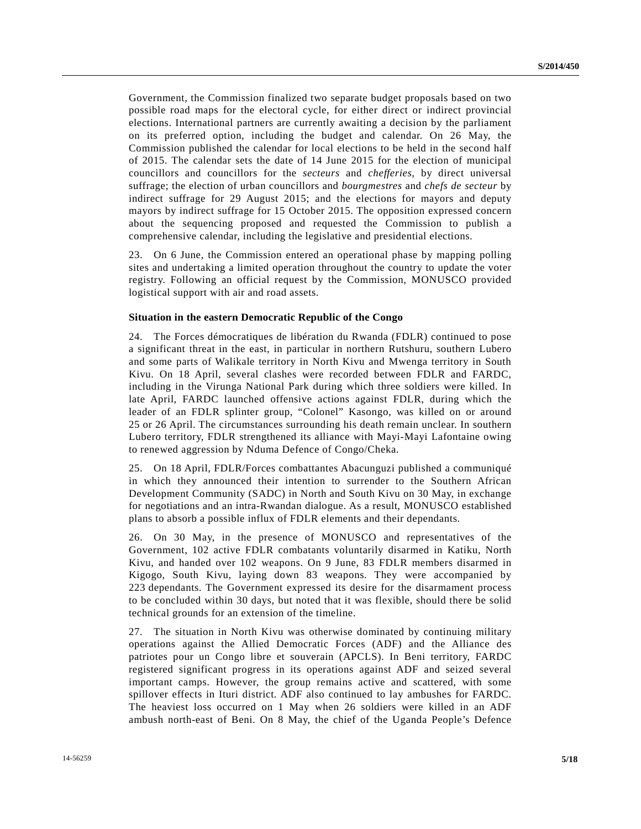Government, the Commission finalized two separate budget proposals based on two possible road maps for the electoral cycle, for either direct or indirect provincial elections. International partners are currently awaiting a decision by the parliament on its preferred option, including the budget and calendar. On 26 May, the Commission published the calendar for local elections to be held in the second half of 2015. The calendar sets the date of 14 June 2015 for the election of municipal councillors and councillors for the *secteurs* and *chefferies*, by direct universal suffrage; the election of urban councillors and *bourgmestres* and *chefs de secteur* by indirect suffrage for 29 August 2015; and the elections for mayors and deputy mayors by indirect suffrage for 15 October 2015. The opposition expressed concern about the sequencing proposed and requested the Commission to publish a comprehensive calendar, including the legislative and presidential elections.

23. On 6 June, the Commission entered an operational phase by mapping polling sites and undertaking a limited operation throughout the country to update the voter registry. Following an official request by the Commission, MONUSCO provided logistical support with air and road assets.

#### **Situation in the eastern Democratic Republic of the Congo**

24. The Forces démocratiques de libération du Rwanda (FDLR) continued to pose a significant threat in the east, in particular in northern Rutshuru, southern Lubero and some parts of Walikale territory in North Kivu and Mwenga territory in South Kivu. On 18 April, several clashes were recorded between FDLR and FARDC, including in the Virunga National Park during which three soldiers were killed. In late April, FARDC launched offensive actions against FDLR, during which the leader of an FDLR splinter group, "Colonel" Kasongo, was killed on or around 25 or 26 April. The circumstances surrounding his death remain unclear. In southern Lubero territory, FDLR strengthened its alliance with Mayi-Mayi Lafontaine owing to renewed aggression by Nduma Defence of Congo/Cheka.

25. On 18 April, FDLR/Forces combattantes Abacunguzi published a communiqué in which they announced their intention to surrender to the Southern African Development Community (SADC) in North and South Kivu on 30 May, in exchange for negotiations and an intra-Rwandan dialogue. As a result, MONUSCO established plans to absorb a possible influx of FDLR elements and their dependants.

26. On 30 May, in the presence of MONUSCO and representatives of the Government, 102 active FDLR combatants voluntarily disarmed in Katiku, North Kivu, and handed over 102 weapons. On 9 June, 83 FDLR members disarmed in Kigogo, South Kivu, laying down 83 weapons. They were accompanied by 223 dependants. The Government expressed its desire for the disarmament process to be concluded within 30 days, but noted that it was flexible, should there be solid technical grounds for an extension of the timeline.

27. The situation in North Kivu was otherwise dominated by continuing military operations against the Allied Democratic Forces (ADF) and the Alliance des patriotes pour un Congo libre et souverain (APCLS). In Beni territory, FARDC registered significant progress in its operations against ADF and seized several important camps. However, the group remains active and scattered, with some spillover effects in Ituri district. ADF also continued to lay ambushes for FARDC. The heaviest loss occurred on 1 May when 26 soldiers were killed in an ADF ambush north-east of Beni. On 8 May, the chief of the Uganda People's Defence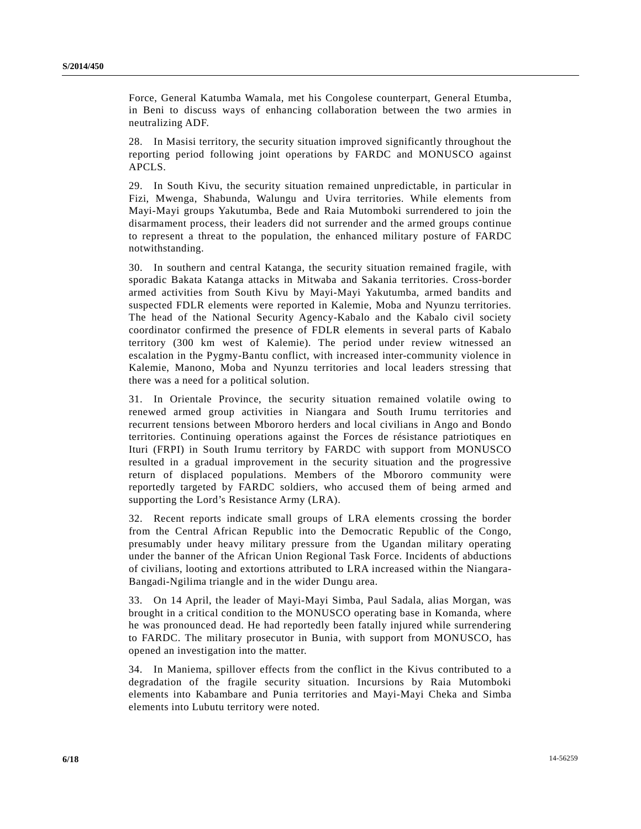Force, General Katumba Wamala, met his Congolese counterpart, General Etumba, in Beni to discuss ways of enhancing collaboration between the two armies in neutralizing ADF.

28. In Masisi territory, the security situation improved significantly throughout the reporting period following joint operations by FARDC and MONUSCO against APCLS.

29. In South Kivu, the security situation remained unpredictable, in particular in Fizi, Mwenga, Shabunda, Walungu and Uvira territories. While elements from Mayi-Mayi groups Yakutumba, Bede and Raia Mutomboki surrendered to join the disarmament process, their leaders did not surrender and the armed groups continue to represent a threat to the population, the enhanced military posture of FARDC notwithstanding.

30. In southern and central Katanga, the security situation remained fragile, with sporadic Bakata Katanga attacks in Mitwaba and Sakania territories. Cross-border armed activities from South Kivu by Mayi-Mayi Yakutumba, armed bandits and suspected FDLR elements were reported in Kalemie, Moba and Nyunzu territories. The head of the National Security Agency-Kabalo and the Kabalo civil society coordinator confirmed the presence of FDLR elements in several parts of Kabalo territory (300 km west of Kalemie). The period under review witnessed an escalation in the Pygmy-Bantu conflict, with increased inter-community violence in Kalemie, Manono, Moba and Nyunzu territories and local leaders stressing that there was a need for a political solution.

31. In Orientale Province, the security situation remained volatile owing to renewed armed group activities in Niangara and South Irumu territories and recurrent tensions between Mbororo herders and local civilians in Ango and Bondo territories. Continuing operations against the Forces de résistance patriotiques en Ituri (FRPI) in South Irumu territory by FARDC with support from MONUSCO resulted in a gradual improvement in the security situation and the progressive return of displaced populations. Members of the Mbororo community were reportedly targeted by FARDC soldiers, who accused them of being armed and supporting the Lord's Resistance Army (LRA).

32. Recent reports indicate small groups of LRA elements crossing the border from the Central African Republic into the Democratic Republic of the Congo, presumably under heavy military pressure from the Ugandan military operating under the banner of the African Union Regional Task Force. Incidents of abductions of civilians, looting and extortions attributed to LRA increased within the Niangara-Bangadi-Ngilima triangle and in the wider Dungu area.

33. On 14 April, the leader of Mayi-Mayi Simba, Paul Sadala, alias Morgan, was brought in a critical condition to the MONUSCO operating base in Komanda, where he was pronounced dead. He had reportedly been fatally injured while surrendering to FARDC. The military prosecutor in Bunia, with support from MONUSCO, has opened an investigation into the matter.

34. In Maniema, spillover effects from the conflict in the Kivus contributed to a degradation of the fragile security situation. Incursions by Raia Mutomboki elements into Kabambare and Punia territories and Mayi-Mayi Cheka and Simba elements into Lubutu territory were noted.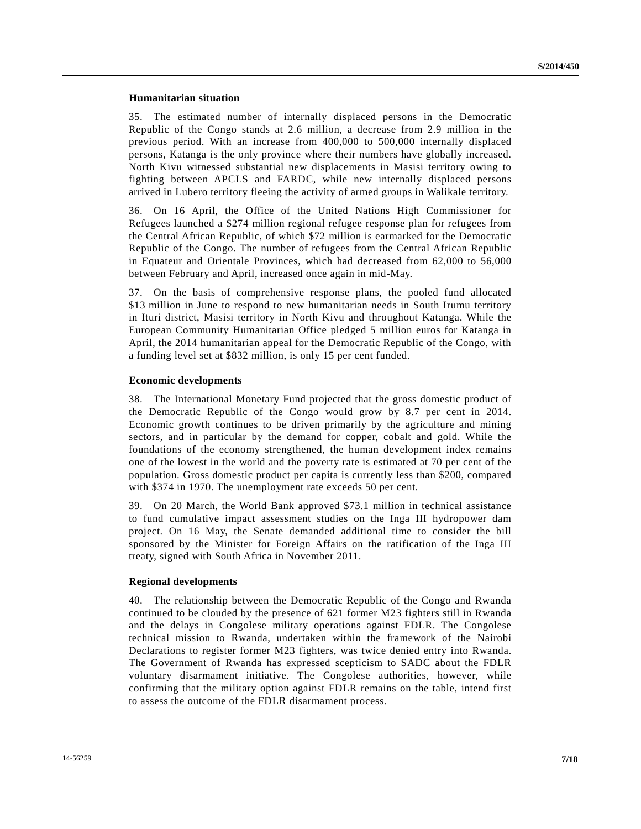#### **Humanitarian situation**

35. The estimated number of internally displaced persons in the Democratic Republic of the Congo stands at 2.6 million, a decrease from 2.9 million in the previous period. With an increase from 400,000 to 500,000 internally displaced persons, Katanga is the only province where their numbers have globally increased. North Kivu witnessed substantial new displacements in Masisi territory owing to fighting between APCLS and FARDC, while new internally displaced persons arrived in Lubero territory fleeing the activity of armed groups in Walikale territory.

36. On 16 April, the Office of the United Nations High Commissioner for Refugees launched a \$274 million regional refugee response plan for refugees from the Central African Republic, of which \$72 million is earmarked for the Democratic Republic of the Congo. The number of refugees from the Central African Republic in Equateur and Orientale Provinces, which had decreased from 62,000 to 56,000 between February and April, increased once again in mid-May.

37. On the basis of comprehensive response plans, the pooled fund allocated \$13 million in June to respond to new humanitarian needs in South Irumu territory in Ituri district, Masisi territory in North Kivu and throughout Katanga. While the European Community Humanitarian Office pledged 5 million euros for Katanga in April, the 2014 humanitarian appeal for the Democratic Republic of the Congo, with a funding level set at \$832 million, is only 15 per cent funded.

#### **Economic developments**

38. The International Monetary Fund projected that the gross domestic product of the Democratic Republic of the Congo would grow by 8.7 per cent in 2014. Economic growth continues to be driven primarily by the agriculture and mining sectors, and in particular by the demand for copper, cobalt and gold. While the foundations of the economy strengthened, the human development index remains one of the lowest in the world and the poverty rate is estimated at 70 per cent of the population. Gross domestic product per capita is currently less than \$200, compared with \$374 in 1970. The unemployment rate exceeds 50 per cent.

39. On 20 March, the World Bank approved \$73.1 million in technical assistance to fund cumulative impact assessment studies on the Inga III hydropower dam project. On 16 May, the Senate demanded additional time to consider the bill sponsored by the Minister for Foreign Affairs on the ratification of the Inga III treaty, signed with South Africa in November 2011.

#### **Regional developments**

40. The relationship between the Democratic Republic of the Congo and Rwanda continued to be clouded by the presence of 621 former M23 fighters still in Rwanda and the delays in Congolese military operations against FDLR. The Congolese technical mission to Rwanda, undertaken within the framework of the Nairobi Declarations to register former M23 fighters, was twice denied entry into Rwanda. The Government of Rwanda has expressed scepticism to SADC about the FDLR voluntary disarmament initiative. The Congolese authorities, however, while confirming that the military option against FDLR remains on the table, intend first to assess the outcome of the FDLR disarmament process.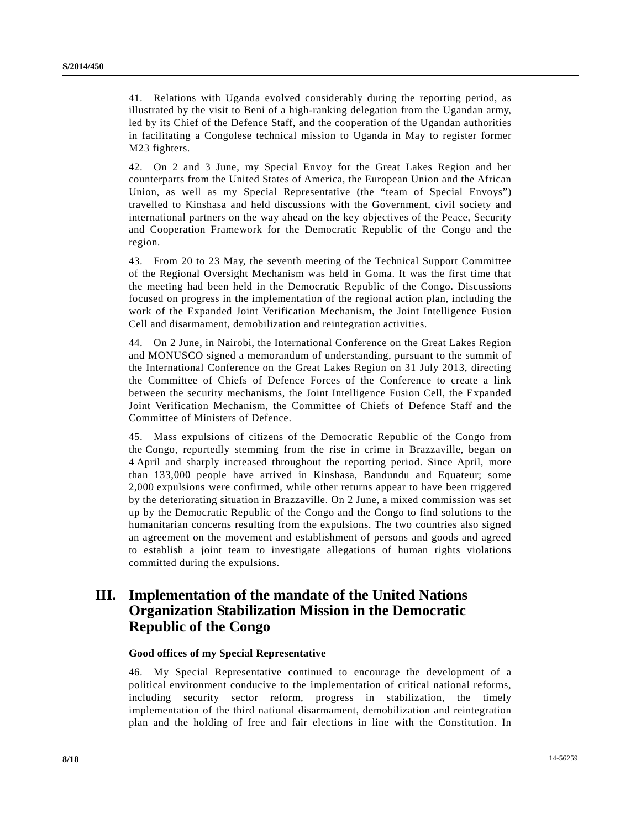41. Relations with Uganda evolved considerably during the reporting period, as illustrated by the visit to Beni of a high-ranking delegation from the Ugandan army, led by its Chief of the Defence Staff, and the cooperation of the Ugandan authorities in facilitating a Congolese technical mission to Uganda in May to register former M23 fighters.

42. On 2 and 3 June, my Special Envoy for the Great Lakes Region and her counterparts from the United States of America, the European Union and the African Union, as well as my Special Representative (the "team of Special Envoys") travelled to Kinshasa and held discussions with the Government, civil society and international partners on the way ahead on the key objectives of the Peace, Security and Cooperation Framework for the Democratic Republic of the Congo and the region.

43. From 20 to 23 May, the seventh meeting of the Technical Support Committee of the Regional Oversight Mechanism was held in Goma. It was the first time that the meeting had been held in the Democratic Republic of the Congo. Discussions focused on progress in the implementation of the regional action plan, including the work of the Expanded Joint Verification Mechanism, the Joint Intelligence Fusion Cell and disarmament, demobilization and reintegration activities.

44. On 2 June, in Nairobi, the International Conference on the Great Lakes Region and MONUSCO signed a memorandum of understanding, pursuant to the summit of the International Conference on the Great Lakes Region on 31 July 2013, directing the Committee of Chiefs of Defence Forces of the Conference to create a link between the security mechanisms, the Joint Intelligence Fusion Cell, the Expanded Joint Verification Mechanism, the Committee of Chiefs of Defence Staff and the Committee of Ministers of Defence.

45. Mass expulsions of citizens of the Democratic Republic of the Congo from the Congo, reportedly stemming from the rise in crime in Brazzaville, began on 4 April and sharply increased throughout the reporting period. Since April, more than 133,000 people have arrived in Kinshasa, Bandundu and Equateur; some 2,000 expulsions were confirmed, while other returns appear to have been triggered by the deteriorating situation in Brazzaville. On 2 June, a mixed commission was set up by the Democratic Republic of the Congo and the Congo to find solutions to the humanitarian concerns resulting from the expulsions. The two countries also signed an agreement on the movement and establishment of persons and goods and agreed to establish a joint team to investigate allegations of human rights violations committed during the expulsions.

# **III. Implementation of the mandate of the United Nations Organization Stabilization Mission in the Democratic Republic of the Congo**

#### **Good offices of my Special Representative**

46. My Special Representative continued to encourage the development of a political environment conducive to the implementation of critical national reforms, including security sector reform, progress in stabilization, the timely implementation of the third national disarmament, demobilization and reintegration plan and the holding of free and fair elections in line with the Constitution. In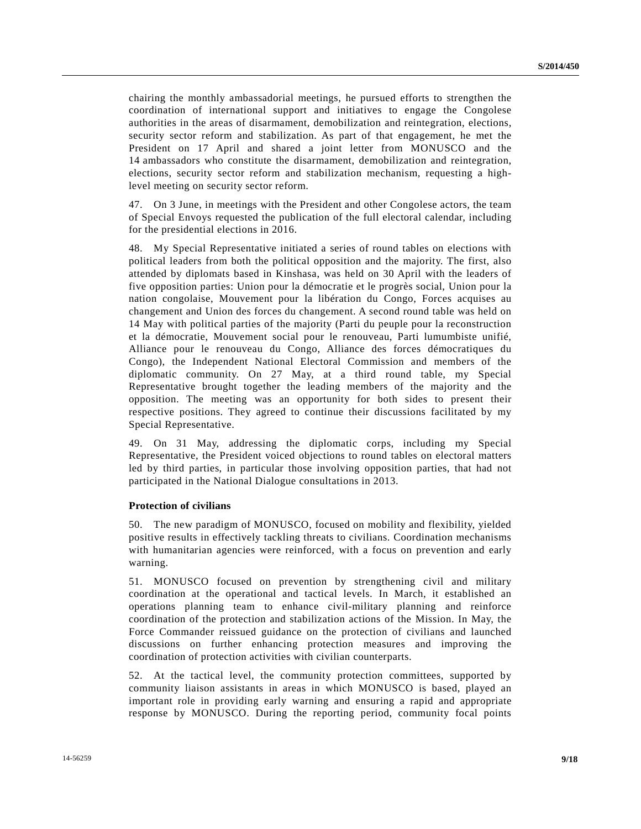chairing the monthly ambassadorial meetings, he pursued efforts to strengthen the coordination of international support and initiatives to engage the Congolese authorities in the areas of disarmament, demobilization and reintegration, elections, security sector reform and stabilization. As part of that engagement, he met the President on 17 April and shared a joint letter from MONUSCO and the 14 ambassadors who constitute the disarmament, demobilization and reintegration, elections, security sector reform and stabilization mechanism, requesting a highlevel meeting on security sector reform.

47. On 3 June, in meetings with the President and other Congolese actors, the team of Special Envoys requested the publication of the full electoral calendar, including for the presidential elections in 2016.

48. My Special Representative initiated a series of round tables on elections with political leaders from both the political opposition and the majority. The first, also attended by diplomats based in Kinshasa, was held on 30 April with the leaders of five opposition parties: Union pour la démocratie et le progrès social, Union pour la nation congolaise, Mouvement pour la libération du Congo, Forces acquises au changement and Union des forces du changement. A second round table was held on 14 May with political parties of the majority (Parti du peuple pour la reconstruction et la démocratie, Mouvement social pour le renouveau, Parti lumumbiste unifié, Alliance pour le renouveau du Congo, Alliance des forces démocratiques du Congo), the Independent National Electoral Commission and members of the diplomatic community. On 27 May, at a third round table, my Special Representative brought together the leading members of the majority and the opposition. The meeting was an opportunity for both sides to present their respective positions. They agreed to continue their discussions facilitated by my Special Representative.

49. On 31 May, addressing the diplomatic corps, including my Special Representative, the President voiced objections to round tables on electoral matters led by third parties, in particular those involving opposition parties, that had not participated in the National Dialogue consultations in 2013.

#### **Protection of civilians**

50. The new paradigm of MONUSCO, focused on mobility and flexibility, yielded positive results in effectively tackling threats to civilians. Coordination mechanisms with humanitarian agencies were reinforced, with a focus on prevention and early warning.

51. MONUSCO focused on prevention by strengthening civil and military coordination at the operational and tactical levels. In March, it established an operations planning team to enhance civil-military planning and reinforce coordination of the protection and stabilization actions of the Mission. In May, the Force Commander reissued guidance on the protection of civilians and launched discussions on further enhancing protection measures and improving the coordination of protection activities with civilian counterparts.

52. At the tactical level, the community protection committees, supported by community liaison assistants in areas in which MONUSCO is based, played an important role in providing early warning and ensuring a rapid and appropriate response by MONUSCO. During the reporting period, community focal points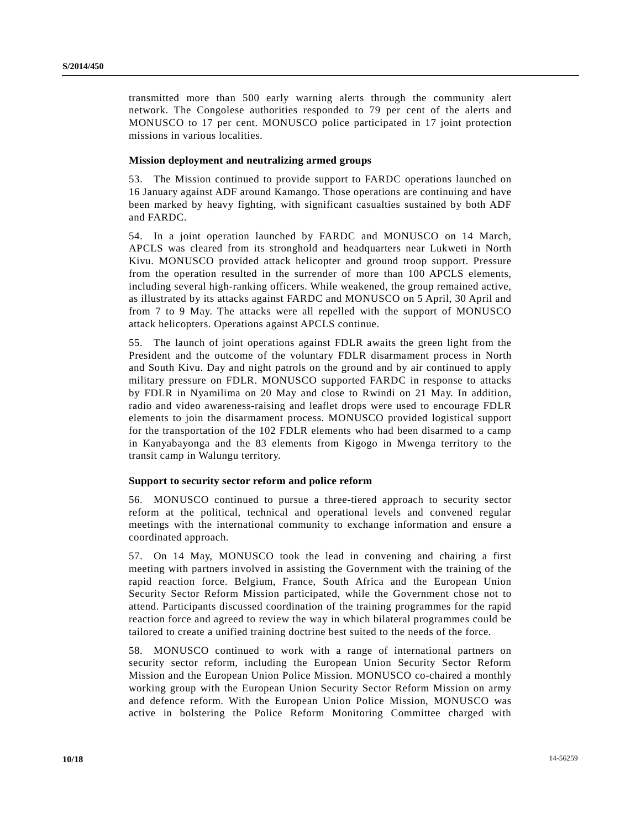transmitted more than 500 early warning alerts through the community alert network. The Congolese authorities responded to 79 per cent of the alerts and MONUSCO to 17 per cent. MONUSCO police participated in 17 joint protection missions in various localities.

#### **Mission deployment and neutralizing armed groups**

53. The Mission continued to provide support to FARDC operations launched on 16 January against ADF around Kamango. Those operations are continuing and have been marked by heavy fighting, with significant casualties sustained by both ADF and FARDC.

54. In a joint operation launched by FARDC and MONUSCO on 14 March, APCLS was cleared from its stronghold and headquarters near Lukweti in North Kivu. MONUSCO provided attack helicopter and ground troop support. Pressure from the operation resulted in the surrender of more than 100 APCLS elements, including several high-ranking officers. While weakened, the group remained active, as illustrated by its attacks against FARDC and MONUSCO on 5 April, 30 April and from 7 to 9 May. The attacks were all repelled with the support of MONUSCO attack helicopters. Operations against APCLS continue.

55. The launch of joint operations against FDLR awaits the green light from the President and the outcome of the voluntary FDLR disarmament process in North and South Kivu. Day and night patrols on the ground and by air continued to apply military pressure on FDLR. MONUSCO supported FARDC in response to attacks by FDLR in Nyamilima on 20 May and close to Rwindi on 21 May. In addition, radio and video awareness-raising and leaflet drops were used to encourage FDLR elements to join the disarmament process. MONUSCO provided logistical support for the transportation of the 102 FDLR elements who had been disarmed to a camp in Kanyabayonga and the 83 elements from Kigogo in Mwenga territory to the transit camp in Walungu territory.

#### **Support to security sector reform and police reform**

56. MONUSCO continued to pursue a three-tiered approach to security sector reform at the political, technical and operational levels and convened regular meetings with the international community to exchange information and ensure a coordinated approach.

57. On 14 May, MONUSCO took the lead in convening and chairing a first meeting with partners involved in assisting the Government with the training of the rapid reaction force. Belgium, France, South Africa and the European Union Security Sector Reform Mission participated, while the Government chose not to attend. Participants discussed coordination of the training programmes for the rapid reaction force and agreed to review the way in which bilateral programmes could be tailored to create a unified training doctrine best suited to the needs of the force.

58. MONUSCO continued to work with a range of international partners on security sector reform, including the European Union Security Sector Reform Mission and the European Union Police Mission. MONUSCO co-chaired a monthly working group with the European Union Security Sector Reform Mission on army and defence reform. With the European Union Police Mission, MONUSCO was active in bolstering the Police Reform Monitoring Committee charged with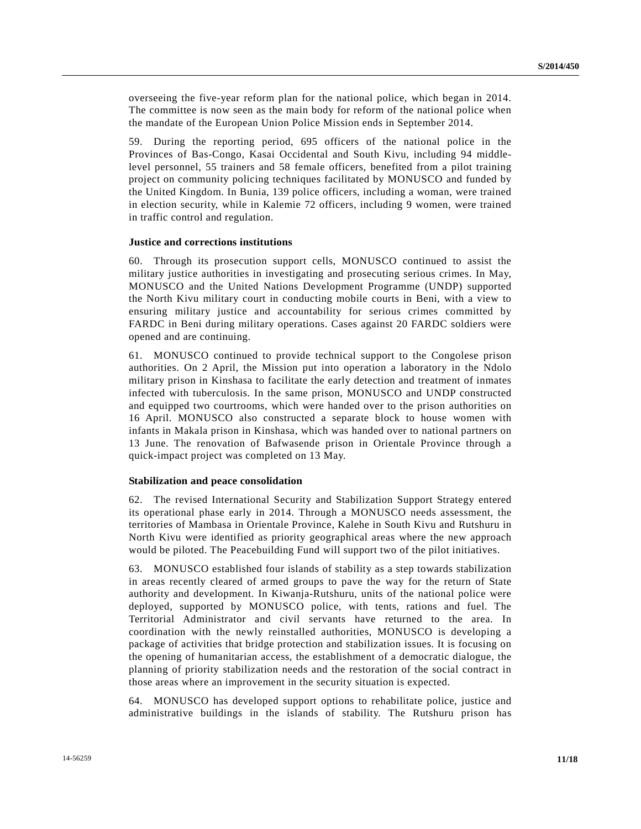overseeing the five-year reform plan for the national police, which began in 2014. The committee is now seen as the main body for reform of the national police when the mandate of the European Union Police Mission ends in September 2014.

59. During the reporting period, 695 officers of the national police in the Provinces of Bas-Congo, Kasai Occidental and South Kivu, including 94 middlelevel personnel, 55 trainers and 58 female officers, benefited from a pilot training project on community policing techniques facilitated by MONUSCO and funded by the United Kingdom. In Bunia, 139 police officers, including a woman, were trained in election security, while in Kalemie 72 officers, including 9 women, were trained in traffic control and regulation.

#### **Justice and corrections institutions**

60. Through its prosecution support cells, MONUSCO continued to assist the military justice authorities in investigating and prosecuting serious crimes. In May, MONUSCO and the United Nations Development Programme (UNDP) supported the North Kivu military court in conducting mobile courts in Beni, with a view to ensuring military justice and accountability for serious crimes committed by FARDC in Beni during military operations. Cases against 20 FARDC soldiers were opened and are continuing.

61. MONUSCO continued to provide technical support to the Congolese prison authorities. On 2 April, the Mission put into operation a laboratory in the Ndolo military prison in Kinshasa to facilitate the early detection and treatment of inmates infected with tuberculosis. In the same prison, MONUSCO and UNDP constructed and equipped two courtrooms, which were handed over to the prison authorities on 16 April. MONUSCO also constructed a separate block to house women with infants in Makala prison in Kinshasa, which was handed over to national partners on 13 June. The renovation of Bafwasende prison in Orientale Province through a quick-impact project was completed on 13 May.

#### **Stabilization and peace consolidation**

62. The revised International Security and Stabilization Support Strategy entered its operational phase early in 2014. Through a MONUSCO needs assessment, the territories of Mambasa in Orientale Province, Kalehe in South Kivu and Rutshuru in North Kivu were identified as priority geographical areas where the new approach would be piloted. The Peacebuilding Fund will support two of the pilot initiatives.

63. MONUSCO established four islands of stability as a step towards stabilization in areas recently cleared of armed groups to pave the way for the return of State authority and development. In Kiwanja-Rutshuru, units of the national police were deployed, supported by MONUSCO police, with tents, rations and fuel. The Territorial Administrator and civil servants have returned to the area. In coordination with the newly reinstalled authorities, MONUSCO is developing a package of activities that bridge protection and stabilization issues. It is focusing on the opening of humanitarian access, the establishment of a democratic dialogue, the planning of priority stabilization needs and the restoration of the social contract in those areas where an improvement in the security situation is expected.

64. MONUSCO has developed support options to rehabilitate police, justice and administrative buildings in the islands of stability. The Rutshuru prison has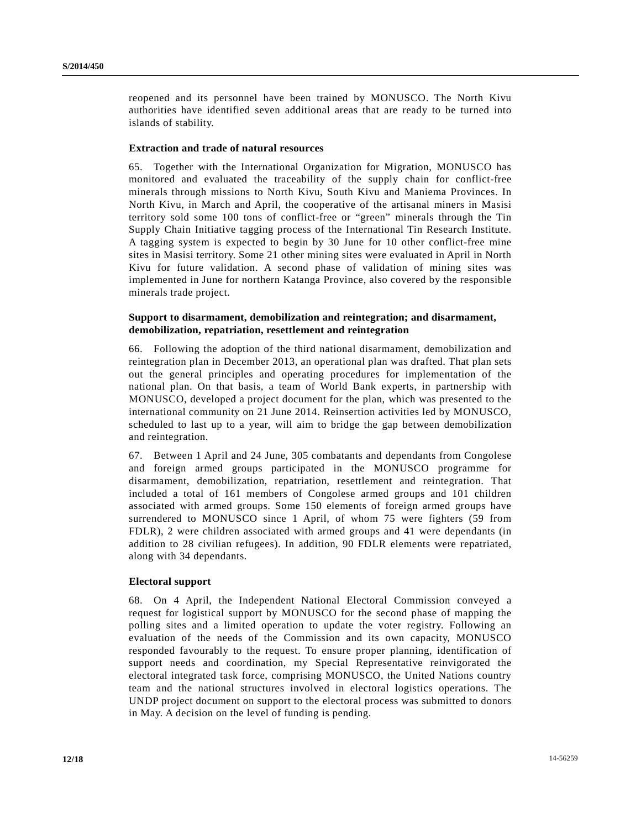reopened and its personnel have been trained by MONUSCO. The North Kivu authorities have identified seven additional areas that are ready to be turned into islands of stability.

#### **Extraction and trade of natural resources**

65. Together with the International Organization for Migration, MONUSCO has monitored and evaluated the traceability of the supply chain for conflict-free minerals through missions to North Kivu, South Kivu and Maniema Provinces. In North Kivu, in March and April, the cooperative of the artisanal miners in Masisi territory sold some 100 tons of conflict-free or "green" minerals through the Tin Supply Chain Initiative tagging process of the International Tin Research Institute. A tagging system is expected to begin by 30 June for 10 other conflict-free mine sites in Masisi territory. Some 21 other mining sites were evaluated in April in North Kivu for future validation. A second phase of validation of mining sites was implemented in June for northern Katanga Province, also covered by the responsible minerals trade project.

### **Support to disarmament, demobilization and reintegration; and disarmament, demobilization, repatriation, resettlement and reintegration**

66. Following the adoption of the third national disarmament, demobilization and reintegration plan in December 2013, an operational plan was drafted. That plan sets out the general principles and operating procedures for implementation of the national plan. On that basis, a team of World Bank experts, in partnership with MONUSCO, developed a project document for the plan, which was presented to the international community on 21 June 2014. Reinsertion activities led by MONUSCO, scheduled to last up to a year, will aim to bridge the gap between demobilization and reintegration.

67. Between 1 April and 24 June, 305 combatants and dependants from Congolese and foreign armed groups participated in the MONUSCO programme for disarmament, demobilization, repatriation, resettlement and reintegration. That included a total of 161 members of Congolese armed groups and 101 children associated with armed groups. Some 150 elements of foreign armed groups have surrendered to MONUSCO since 1 April, of whom 75 were fighters (59 from FDLR), 2 were children associated with armed groups and 41 were dependants (in addition to 28 civilian refugees). In addition, 90 FDLR elements were repatriated, along with 34 dependants.

#### **Electoral support**

68. On 4 April, the Independent National Electoral Commission conveyed a request for logistical support by MONUSCO for the second phase of mapping the polling sites and a limited operation to update the voter registry. Following an evaluation of the needs of the Commission and its own capacity, MONUSCO responded favourably to the request. To ensure proper planning, identification of support needs and coordination, my Special Representative reinvigorated the electoral integrated task force, comprising MONUSCO, the United Nations country team and the national structures involved in electoral logistics operations. The UNDP project document on support to the electoral process was submitted to donors in May. A decision on the level of funding is pending.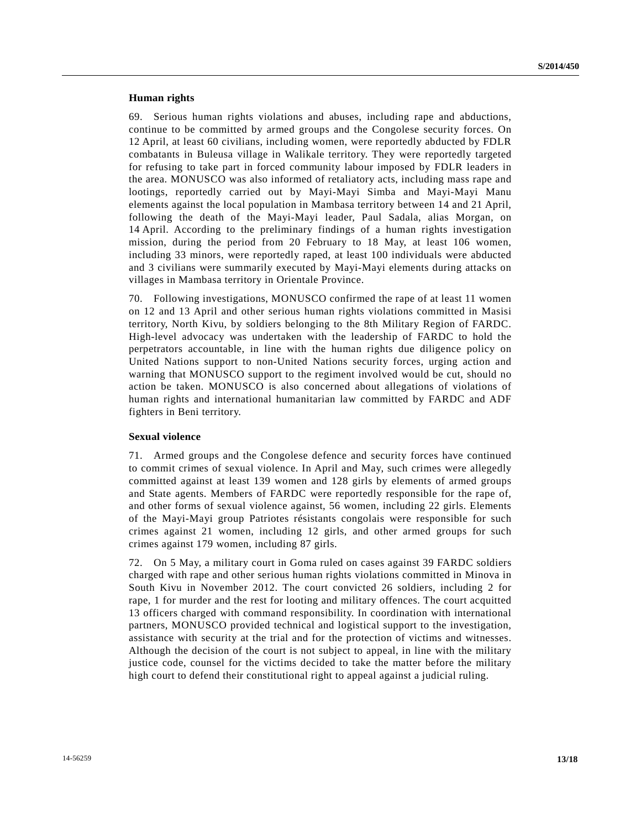#### **Human rights**

69. Serious human rights violations and abuses, including rape and abductions, continue to be committed by armed groups and the Congolese security forces. On 12 April, at least 60 civilians, including women, were reportedly abducted by FDLR combatants in Buleusa village in Walikale territory. They were reportedly targeted for refusing to take part in forced community labour imposed by FDLR leaders in the area. MONUSCO was also informed of retaliatory acts, including mass rape and lootings, reportedly carried out by Mayi-Mayi Simba and Mayi-Mayi Manu elements against the local population in Mambasa territory between 14 and 21 April, following the death of the Mayi-Mayi leader, Paul Sadala, alias Morgan, on 14 April. According to the preliminary findings of a human rights investigation mission, during the period from 20 February to 18 May, at least 106 women, including 33 minors, were reportedly raped, at least 100 individuals were abducted and 3 civilians were summarily executed by Mayi-Mayi elements during attacks on villages in Mambasa territory in Orientale Province.

70. Following investigations, MONUSCO confirmed the rape of at least 11 women on 12 and 13 April and other serious human rights violations committed in Masisi territory, North Kivu, by soldiers belonging to the 8th Military Region of FARDC. High-level advocacy was undertaken with the leadership of FARDC to hold the perpetrators accountable, in line with the human rights due diligence policy on United Nations support to non-United Nations security forces, urging action and warning that MONUSCO support to the regiment involved would be cut, should no action be taken. MONUSCO is also concerned about allegations of violations of human rights and international humanitarian law committed by FARDC and ADF fighters in Beni territory.

### **Sexual violence**

71. Armed groups and the Congolese defence and security forces have continued to commit crimes of sexual violence. In April and May, such crimes were allegedly committed against at least 139 women and 128 girls by elements of armed groups and State agents. Members of FARDC were reportedly responsible for the rape of, and other forms of sexual violence against, 56 women, including 22 girls. Elements of the Mayi-Mayi group Patriotes résistants congolais were responsible for such crimes against 21 women, including 12 girls, and other armed groups for such crimes against 179 women, including 87 girls.

72. On 5 May, a military court in Goma ruled on cases against 39 FARDC soldiers charged with rape and other serious human rights violations committed in Minova in South Kivu in November 2012. The court convicted 26 soldiers, including 2 for rape, 1 for murder and the rest for looting and military offences. The court acquitted 13 officers charged with command responsibility. In coordination with international partners, MONUSCO provided technical and logistical support to the investigation, assistance with security at the trial and for the protection of victims and witnesses. Although the decision of the court is not subject to appeal, in line with the military justice code, counsel for the victims decided to take the matter before the military high court to defend their constitutional right to appeal against a judicial ruling.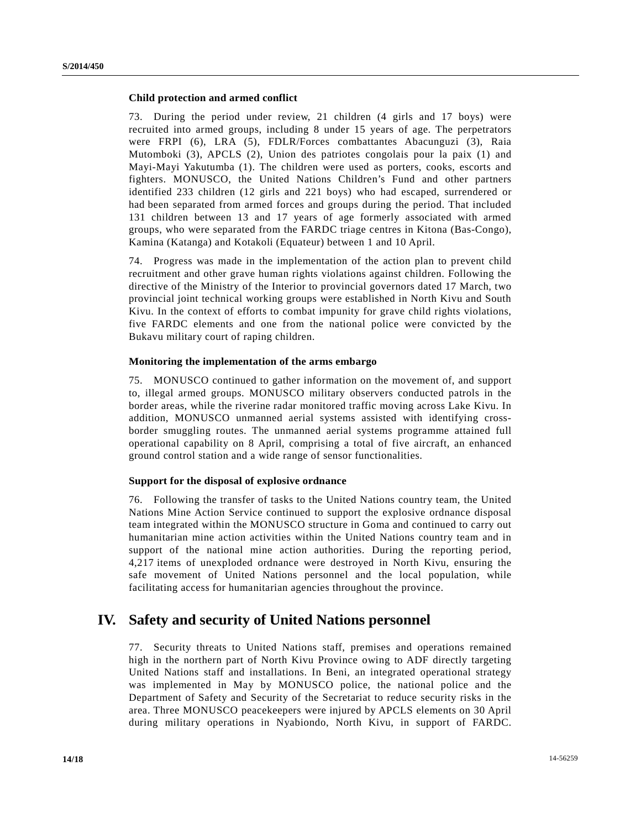#### **Child protection and armed conflict**

73. During the period under review, 21 children (4 girls and 17 boys) were recruited into armed groups, including 8 under 15 years of age. The perpetrators were FRPI (6), LRA (5), FDLR/Forces combattantes Abacunguzi (3), Raia Mutomboki (3), APCLS (2), Union des patriotes congolais pour la paix (1) and Mayi-Mayi Yakutumba (1). The children were used as porters, cooks, escorts and fighters. MONUSCO, the United Nations Children's Fund and other partners identified 233 children (12 girls and 221 boys) who had escaped, surrendered or had been separated from armed forces and groups during the period. That included 131 children between 13 and 17 years of age formerly associated with armed groups, who were separated from the FARDC triage centres in Kitona (Bas-Congo), Kamina (Katanga) and Kotakoli (Equateur) between 1 and 10 April.

74. Progress was made in the implementation of the action plan to prevent child recruitment and other grave human rights violations against children. Following the directive of the Ministry of the Interior to provincial governors dated 17 March, two provincial joint technical working groups were established in North Kivu and South Kivu. In the context of efforts to combat impunity for grave child rights violations, five FARDC elements and one from the national police were convicted by the Bukavu military court of raping children.

#### **Monitoring the implementation of the arms embargo**

75. MONUSCO continued to gather information on the movement of, and support to, illegal armed groups. MONUSCO military observers conducted patrols in the border areas, while the riverine radar monitored traffic moving across Lake Kivu. In addition, MONUSCO unmanned aerial systems assisted with identifying crossborder smuggling routes. The unmanned aerial systems programme attained full operational capability on 8 April, comprising a total of five aircraft, an enhanced ground control station and a wide range of sensor functionalities.

#### **Support for the disposal of explosive ordnance**

76. Following the transfer of tasks to the United Nations country team, the United Nations Mine Action Service continued to support the explosive ordnance disposal team integrated within the MONUSCO structure in Goma and continued to carry out humanitarian mine action activities within the United Nations country team and in support of the national mine action authorities. During the reporting period, 4,217 items of unexploded ordnance were destroyed in North Kivu, ensuring the safe movement of United Nations personnel and the local population, while facilitating access for humanitarian agencies throughout the province.

## **IV. Safety and security of United Nations personnel**

77. Security threats to United Nations staff, premises and operations remained high in the northern part of North Kivu Province owing to ADF directly targeting United Nations staff and installations. In Beni, an integrated operational strategy was implemented in May by MONUSCO police, the national police and the Department of Safety and Security of the Secretariat to reduce security risks in the area. Three MONUSCO peacekeepers were injured by APCLS elements on 30 April during military operations in Nyabiondo, North Kivu, in support of FARDC.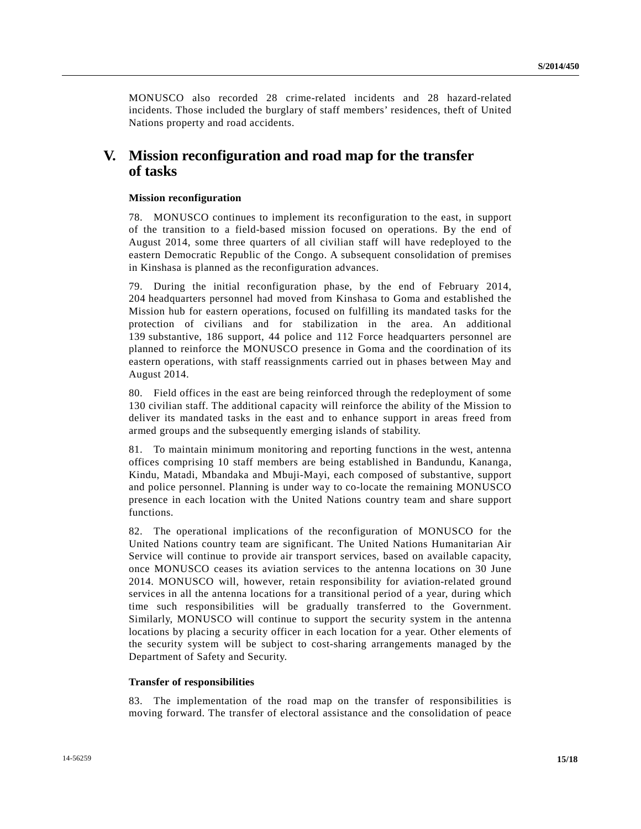MONUSCO also recorded 28 crime-related incidents and 28 hazard-related incidents. Those included the burglary of staff members' residences, theft of United Nations property and road accidents.

## **V. Mission reconfiguration and road map for the transfer of tasks**

#### **Mission reconfiguration**

78. MONUSCO continues to implement its reconfiguration to the east, in support of the transition to a field-based mission focused on operations. By the end of August 2014, some three quarters of all civilian staff will have redeployed to the eastern Democratic Republic of the Congo. A subsequent consolidation of premises in Kinshasa is planned as the reconfiguration advances.

79. During the initial reconfiguration phase, by the end of February 2014, 204 headquarters personnel had moved from Kinshasa to Goma and established the Mission hub for eastern operations, focused on fulfilling its mandated tasks for the protection of civilians and for stabilization in the area. An additional 139 substantive, 186 support, 44 police and 112 Force headquarters personnel are planned to reinforce the MONUSCO presence in Goma and the coordination of its eastern operations, with staff reassignments carried out in phases between May and August 2014.

80. Field offices in the east are being reinforced through the redeployment of some 130 civilian staff. The additional capacity will reinforce the ability of the Mission to deliver its mandated tasks in the east and to enhance support in areas freed from armed groups and the subsequently emerging islands of stability.

81. To maintain minimum monitoring and reporting functions in the west, antenna offices comprising 10 staff members are being established in Bandundu, Kananga, Kindu, Matadi, Mbandaka and Mbuji-Mayi, each composed of substantive, support and police personnel. Planning is under way to co-locate the remaining MONUSCO presence in each location with the United Nations country team and share support functions.

82. The operational implications of the reconfiguration of MONUSCO for the United Nations country team are significant. The United Nations Humanitarian Air Service will continue to provide air transport services, based on available capacity, once MONUSCO ceases its aviation services to the antenna locations on 30 June 2014. MONUSCO will, however, retain responsibility for aviation-related ground services in all the antenna locations for a transitional period of a year, during which time such responsibilities will be gradually transferred to the Government. Similarly, MONUSCO will continue to support the security system in the antenna locations by placing a security officer in each location for a year. Other elements of the security system will be subject to cost-sharing arrangements managed by the Department of Safety and Security.

#### **Transfer of responsibilities**

83. The implementation of the road map on the transfer of responsibilities is moving forward. The transfer of electoral assistance and the consolidation of peace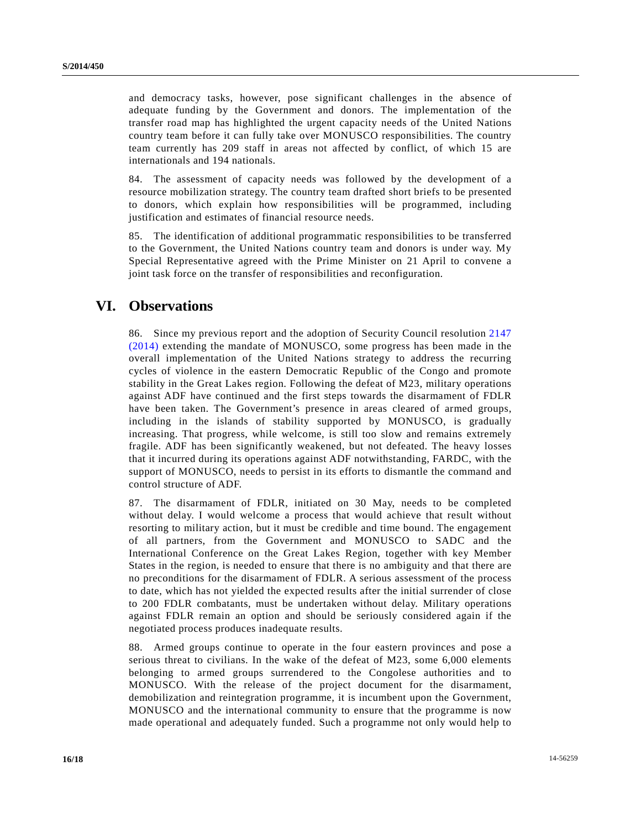and democracy tasks, however, pose significant challenges in the absence of adequate funding by the Government and donors. The implementation of the transfer road map has highlighted the urgent capacity needs of the United Nations country team before it can fully take over MONUSCO responsibilities. The country team currently has 209 staff in areas not affected by conflict, of which 15 are internationals and 194 nationals.

84. The assessment of capacity needs was followed by the development of a resource mobilization strategy. The country team drafted short briefs to be presented to donors, which explain how responsibilities will be programmed, including justification and estimates of financial resource needs.

85. The identification of additional programmatic responsibilities to be transferred to the Government, the United Nations country team and donors is under way. My Special Representative agreed with the Prime Minister on 21 April to convene a joint task force on the transfer of responsibilities and reconfiguration.

## **VI. Observations**

86. Since my previous report and the adoption of Security Council resolution [2147](http://undocs.org/S/RES/2147(2014))  [\(2014\)](http://undocs.org/S/RES/2147(2014)) extending the mandate of MONUSCO, some progress has been made in the overall implementation of the United Nations strategy to address the recurring cycles of violence in the eastern Democratic Republic of the Congo and promote stability in the Great Lakes region. Following the defeat of M23, military operations against ADF have continued and the first steps towards the disarmament of FDLR have been taken. The Government's presence in areas cleared of armed groups, including in the islands of stability supported by MONUSCO, is gradually increasing. That progress, while welcome, is still too slow and remains extremely fragile. ADF has been significantly weakened, but not defeated. The heavy losses that it incurred during its operations against ADF notwithstanding, FARDC, with the support of MONUSCO, needs to persist in its efforts to dismantle the command and control structure of ADF.

87. The disarmament of FDLR, initiated on 30 May, needs to be completed without delay. I would welcome a process that would achieve that result without resorting to military action, but it must be credible and time bound. The engagement of all partners, from the Government and MONUSCO to SADC and the International Conference on the Great Lakes Region, together with key Member States in the region, is needed to ensure that there is no ambiguity and that there are no preconditions for the disarmament of FDLR. A serious assessment of the process to date, which has not yielded the expected results after the initial surrender of close to 200 FDLR combatants, must be undertaken without delay. Military operations against FDLR remain an option and should be seriously considered again if the negotiated process produces inadequate results.

88. Armed groups continue to operate in the four eastern provinces and pose a serious threat to civilians. In the wake of the defeat of M23, some 6,000 elements belonging to armed groups surrendered to the Congolese authorities and to MONUSCO. With the release of the project document for the disarmament, demobilization and reintegration programme, it is incumbent upon the Government, MONUSCO and the international community to ensure that the programme is now made operational and adequately funded. Such a programme not only would help to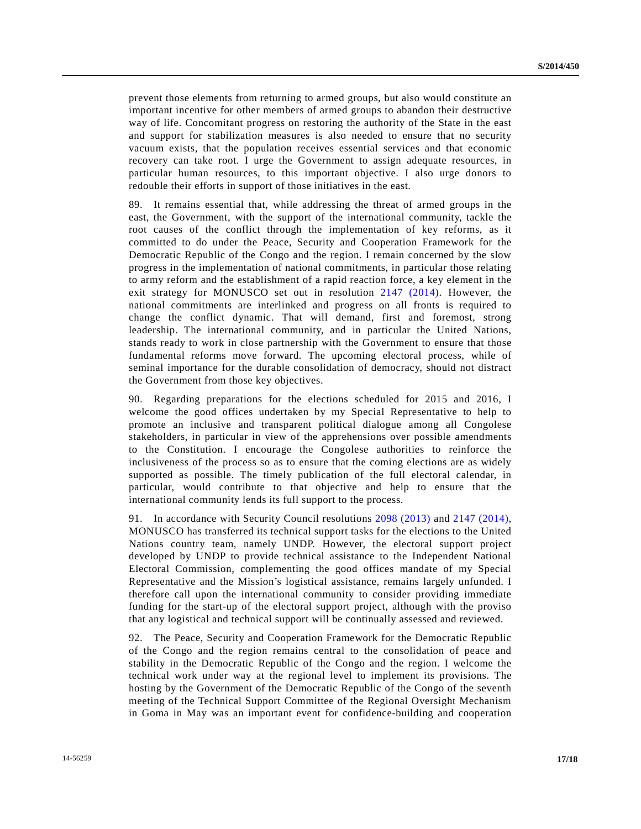prevent those elements from returning to armed groups, but also would constitute an important incentive for other members of armed groups to abandon their destructive way of life. Concomitant progress on restoring the authority of the State in the east and support for stabilization measures is also needed to ensure that no security vacuum exists, that the population receives essential services and that economic recovery can take root. I urge the Government to assign adequate resources, in particular human resources, to this important objective. I also urge donors to redouble their efforts in support of those initiatives in the east.

89. It remains essential that, while addressing the threat of armed groups in the east, the Government, with the support of the international community, tackle the root causes of the conflict through the implementation of key reforms, as it committed to do under the Peace, Security and Cooperation Framework for the Democratic Republic of the Congo and the region. I remain concerned by the slow progress in the implementation of national commitments, in particular those relating to army reform and the establishment of a rapid reaction force, a key element in the exit strategy for MONUSCO set out in resolution [2147 \(2014\).](http://undocs.org/S/RES/2147(2014)) However, the national commitments are interlinked and progress on all fronts is required to change the conflict dynamic. That will demand, first and foremost, strong leadership. The international community, and in particular the United Nations, stands ready to work in close partnership with the Government to ensure that those fundamental reforms move forward. The upcoming electoral process, while of seminal importance for the durable consolidation of democracy, should not distract the Government from those key objectives.

90. Regarding preparations for the elections scheduled for 2015 and 2016, I welcome the good offices undertaken by my Special Representative to help to promote an inclusive and transparent political dialogue among all Congolese stakeholders, in particular in view of the apprehensions over possible amendments to the Constitution. I encourage the Congolese authorities to reinforce the inclusiveness of the process so as to ensure that the coming elections are as widely supported as possible. The timely publication of the full electoral calendar, in particular, would contribute to that objective and help to ensure that the international community lends its full support to the process.

91. In accordance with Security Council resolutions [2098 \(2013\)](http://undocs.org/S/RES/2098(2013)) and [2147 \(2014\),](http://undocs.org/S/RES/2147(2014)) MONUSCO has transferred its technical support tasks for the elections to the United Nations country team, namely UNDP. However, the electoral support project developed by UNDP to provide technical assistance to the Independent National Electoral Commission, complementing the good offices mandate of my Special Representative and the Mission's logistical assistance, remains largely unfunded. I therefore call upon the international community to consider providing immediate funding for the start-up of the electoral support project, although with the proviso that any logistical and technical support will be continually assessed and reviewed.

92. The Peace, Security and Cooperation Framework for the Democratic Republic of the Congo and the region remains central to the consolidation of peace and stability in the Democratic Republic of the Congo and the region. I welcome the technical work under way at the regional level to implement its provisions. The hosting by the Government of the Democratic Republic of the Congo of the seventh meeting of the Technical Support Committee of the Regional Oversight Mechanism in Goma in May was an important event for confidence-building and cooperation